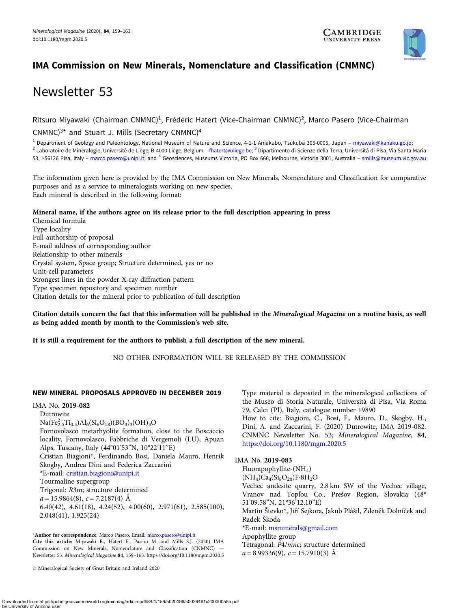

# IMA Commission on New Minerals, Nomenclature and Classification (CNMNC)

# Newsletter 53

Ritsuro Miyawaki (Chairman CNMNC)1, Frédéric Hatert (Vice-Chairman CNMNC)2, Marco Pasero (Vice-Chairman

CNMNC $3*$  and Stuart J. Mills (Secretary CNMNC $)^4$ 

<sup>1</sup> Department of Geology and Paleontology, National Museum of Nature and Science, 4-1-1 Amakubo, Tsukuba 305-0005, Japan – [miyawaki@kahaku.go.jp;](mailto:miyawaki@kahaku.go.jp) <sup>2</sup> Laboratoire de Minéralogie, Université de Liège, B-4000 Liège, Belgium – [fhatert@uliege.be](mailto:fhatert@uliege.be);<sup>3</sup> Dipartimento di Scienze della Terra, Università di Pisa, Via Santa Maria 53, I-56126 Pisa, Italy – [marco.pasero@unipi.it](mailto:marco.pasero@unipi.it); and <sup>4</sup> Geosciences, Museums Victoria, PO Box 666, Melbourne, Victoria 3001, Australia – [smills@museum.vic.gov.au](mailto:smills@museum.vic.gov.au)

The information given here is provided by the IMA Commission on New Minerals, Nomenclature and Classification for comparative purposes and as a service to mineralogists working on new species. Each mineral is described in the following format:

# Mineral name, if the authors agree on its release prior to the full description appearing in press

Chemical formula Type locality Full authorship of proposal E-mail address of corresponding author Relationship to other minerals Crystal system, Space group; Structure determined, yes or no Unit-cell parameters Strongest lines in the powder X-ray diffraction pattern Type specimen repository and specimen number Citation details for the mineral prior to publication of full description

Citation details concern the fact that this information will be published in the Mineralogical Magazine on a routine basis, as well as being added month by month to the Commission's web site.

It is still a requirement for the authors to publish a full description of the new mineral.

NO OTHER INFORMATION WILL BE RELEASED BY THE COMMISSION

# NEW MINERAL PROPOSALS APPROVED IN DECEMBER 2019

IMA No. 2019-082

Dutrowite

 $Na(Fe^{2+}_{2.5}Ti_{0.5})Al_6(Si_6O_{18})(BO_3)_3(OH)_3O$ 

Fornovolasco metarhyolite formation, close to the Boscaccio locality, Fornovolasco, Fabbriche di Vergemoli (LU), Apuan Alps, Tuscany, Italy (44°01'53"N, 10°22'11"E)

Cristian Biagioni\*, Ferdinando Bosi, Daniela Mauro, Henrik Skogby, Andrea Dini and Federica Zaccarini \*E-mail: [cristian.biagioni@unipi.it](mailto:cristian.biagioni@unipi.it)

Tourmaline supergroup Trigonal: R3m; structure determined  $a = 15.9864(8), c = 7.2187(4)$  Å 6.40(42), 4.61(18), 4.24(52), 4.00(60), 2.971(61), 2.585(100), 2.048(41), 1.925(24)

\*Author for correspondence: Marco Pasero, Email: [marco.pasero@unipi.it](mailto:marco.pasero@unipi.it) Cite this article: Miyawaki R., Hatert F., Pasero M. and Mills S.J. (2020) IMA Commission on New Minerals, Nomenclature and Classification (CNMNC) — Newsletter 53. Mineralogical Magazine <sup>84</sup>, 159–163.<https://doi.org/10.1180/mgm.2020.5>

© Mineralogical Society of Great Britain and Ireland 2020

Type material is deposited in the mineralogical collections of the Museo di Storia Naturale, Università di Pisa, Via Roma 79, Calci (PI), Italy, catalogue number 19890

How to cite: Biagioni, C., Bosi, F., Mauro, D., Skogby, H., Dini, A. and Zaccarini, F. (2020) Dutrowite, IMA 2019-082. CNMNC Newsletter No. 53; Mineralogical Magazine, <sup>84</sup>, <https://doi.org/10.1180/mgm.2020.5>

# IMA No. 2019-083

Fluorapophyllite-(NH4)  $(NH_4)Ca_4(Si_8O_{20})F·8H_2O$ Vechec andesite quarry, 2.8 km SW of the Vechec village, Vranov nad Topľou Co., Prešov Region, Slovakia (48° 51'09.58"N, 21°36'12.10"E) Martin Števko\*, Jiří Sejkora, Jakub Plášil, Zdeněk Dolníček and Radek Škoda \*E-mail: [msminerals@gmail.com](mailto:msminerals@gmail.com) Apophyllite group Tetragonal: P4/mnc; structure determined  $a = 8.99336(9), c = 15.7910(3)$  Å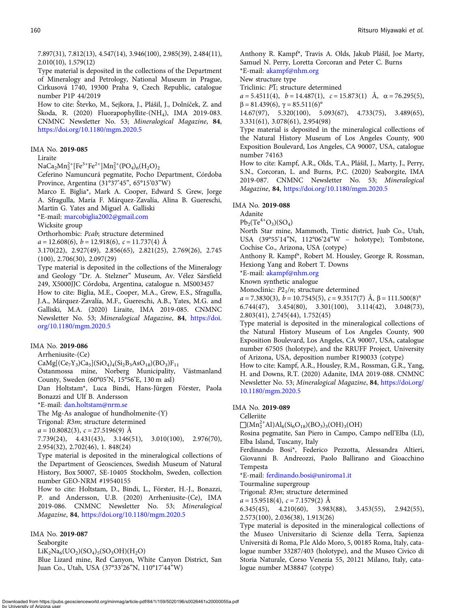7.897(31), 7.812(13), 4.547(14), 3.946(100), 2.985(39), 2.484(11), 2.010(10), 1.579(12)

Type material is deposited in the collections of the Department of Mineralogy and Petrology, National Museum in Prague, Cirkusová 1740, 19300 Praha 9, Czech Republic, catalogue number P1P 44/2019

How to cite: Števko, M., Sejkora, J., Plášil, J., Dolníček, Z. and Škoda, R. (2020) Fluorapophyllite-(NH<sub>4</sub>), IMA 2019-083. CNMNC Newsletter No. 53; Mineralogical Magazine, <sup>84</sup>, <https://doi.org/10.1180/mgm.2020.5>

#### IMA No. 2019-085

#### Liraite

 $NaCa<sub>2</sub>Mn<sub>2</sub><sup>2+</sup>[Fe<sup>3+</sup>Fe<sup>2+</sup>]Mn<sub>2</sub><sup>2+</sup>(PO<sub>4</sub>)<sub>6</sub>(H<sub>2</sub>O)<sub>2</sub>$ 

Ceferino Namuncurá pegmatite, Pocho Department, Córdoba Province, Argentina (31°37'45", 65°15'03"W)

Marco E. Biglia\*, Mark A. Cooper, Edward S. Grew, Jorge A. Sfragulla, María F. Márquez-Zavalía, Alina B. Guereschi, Martin G. Yates and Miguel A. Galliski

\*E-mail: [marcobiglia2002@gmail.com](mailto:marcobiglia2002@gmail.com)

Wicksite group

Orthorhombic: Pcab; structure determined

 $a = 12.608(6), b = 12.918(6), c = 11.737(4)$  Å

3.170(22), 2.927(49), 2.856(65), 2.821(25), 2.769(26), 2.745 (100), 2.706(30), 2.097(29)

Type material is deposited in the collections of the Mineralogy and Geology "Dr. A. Stelzner" Museum, Av. Vélez Sársfield 249, X5000JJC Córdoba, Argentina, catalogue n. MS003457

How to cite: Biglia, M.E., Cooper, M.A., Grew, E.S., Sfragulla, J.A., Márquez-Zavalía, M.F., Guereschi, A.B., Yates, M.G. and Galliski, M.A. (2020) Liraite, IMA 2019-085. CNMNC Newsletter No. 53; Mineralogical Magazine, <sup>84</sup>, [https://doi.](https://doi.org/10.1180/mgm.2020.5) [org/10.1180/mgm.2020.5](https://doi.org/10.1180/mgm.2020.5)

## IMA No. 2019-086

Arrheniusite-(Ce)

 $CaMg[(Ce<sub>7</sub>Y<sub>3</sub>)Ca<sub>5</sub>](SiO<sub>4</sub>)<sub>4</sub>(Si<sub>2</sub>B<sub>3</sub>AsO<sub>18</sub>)(BO<sub>3</sub>)F<sub>11</sub>$ 

Östanmossa mine, Norberg Municipality, Västmanland County, Sweden (60°05'N, 15°56'E, 130 m asl)

Dan Holtstam\*, Luca Bindi, Hans-Jürgen Förster, Paola Bonazzi and Ulf B. Andersson

\*E-mail: [dan.holtstam@nrm.se](mailto:dan.holtstam@nrm.se)

The Mg-As analogue of hundholmenite-(Y)

Trigonal: R3m; structure determined

 $a = 10.8082(3), c = 27.5196(9)$  Å

7.739(24), 4.431(43), 3.146(51), 3.010(100), 2.976(70), 2.954(32), 2.702(46), 1. 848(24)

Type material is deposited in the mineralogical collections of the Department of Geosciences, Swedish Museum of Natural History, Box 50007, SE-10405 Stockholm, Sweden, collection number GEO-NRM #19540155

How to cite: Holtstam, D., Bindi, L., Förster, H.-J., Bonazzi, P. and Andersson, U.B. (2020) Arrheniusite-(Ce), IMA 2019-086. CNMNC Newsletter No. 53; Mineralogical Magazine, <sup>84</sup>, <https://doi.org/10.1180/mgm.2020.5>

## IMA No. 2019-087

Seaborgite

 $LiK<sub>2</sub>Na<sub>6</sub>(UO<sub>2</sub>)(SO<sub>4</sub>)<sub>5</sub>(SO<sub>3</sub>OH)(H<sub>2</sub>O)$ 

Blue Lizard mine, Red Canyon, White Canyon District, San Juan Co., Utah, USA (37°33'26"N, 110°17'44"W)

Anthony R. Kampf\*, Travis A. Olds, Jakub Plášil, Joe Marty, Samuel N. Perry, Loretta Corcoran and Peter C. Burns \*E-mail: [akampf@nhm.org](mailto:akampf@nhm.org)

New structure type

Triclinic:  $P\overline{1}$ ; structure determined

 $a = 5.4511(4)$ ,  $b = 14.487(1)$ ,  $c = 15.873(1)$  Å,  $\alpha = 76.295(5)$ ,

 $β = 81.439(6), γ = 85.511(6)<sup>°</sup>$ 

14.67(97), 5.320(100), 5.093(67), 4.733(75), 3.489(65), 3.331(61), 3.078(61), 2.954(98)

Type material is deposited in the mineralogical collections of the Natural History Museum of Los Angeles County, 900 Exposition Boulevard, Los Angeles, CA 90007, USA, catalogue number 74163

How to cite: Kampf, A.R., Olds, T.A., Plášil, J., Marty, J., Perry, S.N., Corcoran, L. and Burns, P.C. (2020) Seaborgite, IMA 2019-087. CNMNC Newsletter No. 53; Mineralogical Magazine, <sup>84</sup>, <https://doi.org/10.1180/mgm.2020.5>

#### IMA No. 2019-088

Adanite

 $Pb_2(Te^{4+}O_3)(SO_4)$ 

North Star mine, Mammoth, Tintic district, Juab Co., Utah, USA (39°55'14"N, 112°06'24"W – holotype); Tombstone, Cochise Co., Arizona, USA (cotype)

Anthony R. Kampf\*, Robert M. Housley, George R. Rossman, Hexiong Yang and Robert T. Downs

\*E-mail: [akampf@nhm.org](mailto:akampf@nhm.org)

Known synthetic analogue

Monoclinic:  $P2<sub>1</sub>/n$ ; structure determined

 $a = 7.3830(3), b = 10.7545(5), c = 9.3517(7)$  Å,  $\beta = 111.500(8)^\circ$ 

6.744(47), 3.454(80), 3.301(100), 3.114(42), 3.048(73), 2.803(41), 2.745(44), 1.752(45)

Type material is deposited in the mineralogical collections of the Natural History Museum of Los Angeles County, 900 Exposition Boulevard, Los Angeles, CA 90007, USA, catalogue number 67505 (holotype), and the RRUFF Project, University of Arizona, USA, deposition number R190033 (cotype)

How to cite: Kampf, A.R., Housley, R.M., Rossman, G.R., Yang, H. and Downs, R.T. (2020) Adanite, IMA 2019-088. CNMNC Newsletter No. 53; Mineralogical Magazine, <sup>84</sup>, [https://doi.org/](https://doi.org/10.1180/mgm.2020.5) [10.1180/mgm.2020.5](https://doi.org/10.1180/mgm.2020.5)

#### IMA No. 2019-089

Celleriite

 $\Box(Mn_2^{2+}Al)Al_6(Si_6O_{18})(BO_3)_3(OH)_3(OH)$ 

Rosina pegmatite, San Piero in Campo, Campo nell'Elba (LI), Elba Island, Tuscany, Italy

Ferdinando Bosi\*, Federico Pezzotta, Alessandra Altieri, Giovanni B. Andreozzi, Paolo Ballirano and Gioacchino Tempesta

\*E-mail: [ferdinando.bosi@uniroma1.it](mailto:ferdinando.bosi@uniroma1.it)

Tourmaline supergroup

Trigonal: R3m; structure determined

 $a = 15.9518(4)$ ,  $c = 7.1579(2)$  Å

6.345(45), 4.210(60), 3.983(88), 3.453(55), 2.942(55), 2.573(100), 2.036(38), 1.913(26)

Type material is deposited in the mineralogical collections of the Museo Universitario di Scienze della Terra, Sapienza Università di Roma, P.le Aldo Moro, 5, 00185 Roma, Italy, catalogue number 33287/403 (holotype), and the Museo Civico di Storia Naturale, Corso Venezia 55, 20121 Milano, Italy, catalogue number M38847 (cotype)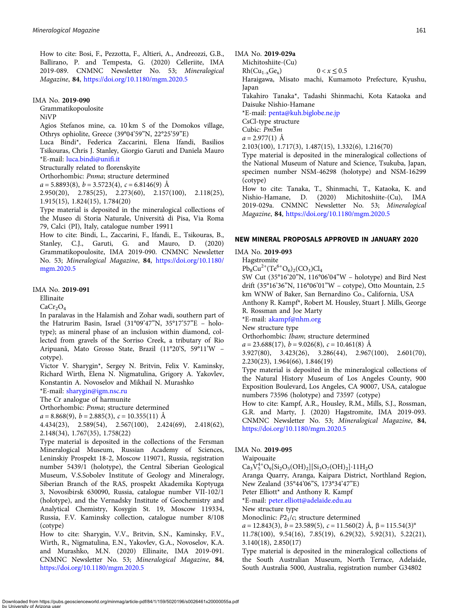How to cite: Bosi, F., Pezzotta, F., Altieri, A., Andreozzi, G.B., Ballirano, P. and Tempesta, G. (2020) Celleriite, IMA 2019-089. CNMNC Newsletter No. 53; Mineralogical Magazine, <sup>84</sup>, <https://doi.org/10.1180/mgm.2020.5>

## IMA No. 2019-090

Grammatikopoulosite

NiVP

Agios Stefanos mine, ca. 10 km S of the Domokos village, Othrys ophiolite, Greece (39°04'59"N, 22°25'59"E)

Luca Bindi\*, Federica Zaccarini, Elena Ifandi, Basilios Tsikouras, Chris J. Stanley, Giorgio Garuti and Daniela Mauro \*E-mail: [luca.bindi@unifi.it](mailto:luca.bindi@unifi.it)

Structurally related to florenskyite

Orthorhombic: Pnma; structure determined

 $a = 5.8893(8), b = 3.5723(4), c = 6.8146(9)$  Å

2.950(20), 2.785(25), 2.273(60), 2.157(100), 2.118(25), 1.915(15), 1.824(15), 1.784(20)

Type material is deposited in the mineralogical collections of the Museo di Storia Naturale, Università di Pisa, Via Roma 79, Calci (PI), Italy, catalogue number 19911

How to cite: Bindi, L., Zaccarini, F., Ifandi, E., Tsikouras, B., Stanley, C.J., Garuti, G. and Mauro, D. (2020) Grammatikopoulosite, IMA 2019-090. CNMNC Newsletter No. 53; Mineralogical Magazine, <sup>84</sup>, [https://doi.org/10.1180/](https://doi.org/10.1180/mgm.2020.5) [mgm.2020.5](https://doi.org/10.1180/mgm.2020.5)

### IMA No. 2019-091

Ellinaite

 $CaCr<sub>2</sub>O<sub>4</sub>$ 

In paralavas in the Halamish and Zohar wadi, southern part of the Hatrurim Basin, Israel (31°09'47"N, 35°17'57"E – holotype); as mineral phase of an inclusion within diamond, collected from gravels of the Sorriso Creek, a tributary of Rio Aripuanã, Mato Grosso State, Brazil (11°20'S, 59°11'W – cotype).

Victor V. Sharygin\*, Sergey N. Britvin, Felix V. Kaminsky, Richard Wirth, Elena N. Nigmatulina, Grigory A. Yakovlev, Konstantin A. Novoselov and Mikhail N. Murashko

\*E-mail: [sharygin@igm.nsc.ru](mailto:sharygin@igm.nsc.ru)

The Cr analogue of harmunite

Orthorhombic: Pnma; structure determined

 $a = 8.868(9)$ ,  $b = 2.885(3)$ ,  $c = 10.355(11)$  Å

4.434(23), 2.589(54), 2.567(100), 2.424(69), 2.418(62), 2.148(34), 1.767(35), 1.758(22)

Type material is deposited in the collections of the Fersman Mineralogical Museum, Russian Academy of Sciences, Leninskiy Prospekt 18-2, Moscow 119071, Russia, registration number 5439/1 (holotype), the Central Siberian Geological Museum, V.S.Sobolev Institute of Geology and Mineralogy, Siberian Branch of the RAS, prospekt Akademika Koptyuga 3, Novosibirsk 630090, Russia, catalogue number VII-102/1 (holotype), and the Vernadsky Institute of Geochemistry and Analytical Chemistry, Kosygin St. 19, Moscow 119334, Russia, F.V. Kaminsky collection, catalogue number 8/108 (cotype)

How to cite: Sharygin, V.V., Britvin, S.N., Kaminsky, F.V., Wirth, R., Nigmatulina, E.N., Yakovlev, G.A., Novoselov, K.A. and Murashko, M.N. (2020) Ellinaite, IMA 2019-091. CNMNC Newsletter No. 53; Mineralogical Magazine, <sup>84</sup>, <https://doi.org/10.1180/mgm.2020.5>

IMA No. 2019-029a

Michitoshiite-(Cu)

Rh(Cu1-xGex) 0< x <sup>≤</sup> 0.5 Haraigawa, Misato machi, Kumamoto Prefecture, Kyushu, Japan

Takahiro Tanaka\*, Tadashi Shinmachi, Kota Kataoka and Daisuke Nishio-Hamane

\*E-mail: [penta@kuh.biglobe.ne.jp](mailto:penta@kuh.biglobe.ne.jp)

CsCl-type structure

Cubic:  $Pm\overline{3}m$ <br> $a = 2.977(1)$  Å

a = 2.977(1) Å 2.103(100), 1.717(3), 1.487(15), 1.332(6), 1.216(70)

Type material is deposited in the mineralogical collections of the National Museum of Nature and Science, Tsukuba, Japan, specimen number NSM-46298 (holotype) and NSM-16299 (cotype)

How to cite: Tanaka, T., Shinmachi, T., Kataoka, K. and Michitoshiite-(Cu), IMA 2019-029a. CNMNC Newsletter No. 53; Mineralogical Magazine, <sup>84</sup>, <https://doi.org/10.1180/mgm.2020.5>

## NEW MINERAL PROPOSALS APPROVED IN JANUARY 2020

## IMA No. 2019-093

Hagstromite

 $Pb_8Cu^{2+}(Te^{6+}O_6)_2(CO_3)Cl_4$ 

SW Cut (35°16'20"N, 116°06'04"W – holotype) and Bird Nest drift (35°16'36"N, 116°06'01"W – cotype), Otto Mountain, 2.5 km WNW of Baker, San Bernardino Co., California, USA Anthony R. Kampf\*, Robert M. Housley, Stuart J. Mills, George

R. Rossman and Joe Marty

\*E-mail: [akampf@nhm.org](mailto:akampf@nhm.org)

New structure type

Orthorhombic: Ibam; structure determined

 $a = 23.688(17), b = 9.026(8), c = 10.461(8)$  Å

3.927(80), 3.423(26), 3.286(44), 2.967(100), 2.601(70), 2.230(23), 1.964(66), 1.846(19)

Type material is deposited in the mineralogical collections of the Natural History Museum of Los Angeles County, 900 Exposition Boulevard, Los Angeles, CA 90007, USA, catalogue numbers 73596 (holotype) and 73597 (cotype)

How to cite: Kampf, A.R., Housley, R.M., Mills, S.J., Rossman, G.R. and Marty, J. (2020) Hagstromite, IMA 2019-093. CNMNC Newsletter No. 53; Mineralogical Magazine, <sup>84</sup>, <https://doi.org/10.1180/mgm.2020.5>

## IMA No. 2019-095

Waipouaite

 $Ca_3V_5^{4+}O_9[Si_2O_5(OH)_2][Si_3O_7(OH)_2]\cdot 11H_2O$ 

Aranga Quarry, Aranga, Kaipara District, Northland Region,

New Zealand (35°44'06"S, 173°34'47"E)

Peter Elliott\* and Anthony R. Kampf

\*E-mail: [peter.elliott@adelaide.edu.au](mailto:peter.elliott@adelaide.edu.au)

New structure type

Monoclinic:  $P2<sub>1</sub>/c$ ; structure determined

 $a = 12.843(3), b = 23.589(5), c = 11.560(2)$  Å,  $\beta = 115.54(3)$ °

11.78(100), 9.54(16), 7.85(19), 6.29(32), 5.92(31), 5.22(21), 3.140(18), 2.850(17)

Type material is deposited in the mineralogical collections of the South Australian Museum, North Terrace, Adelaide, South Australia 5000, Australia, registration number G34802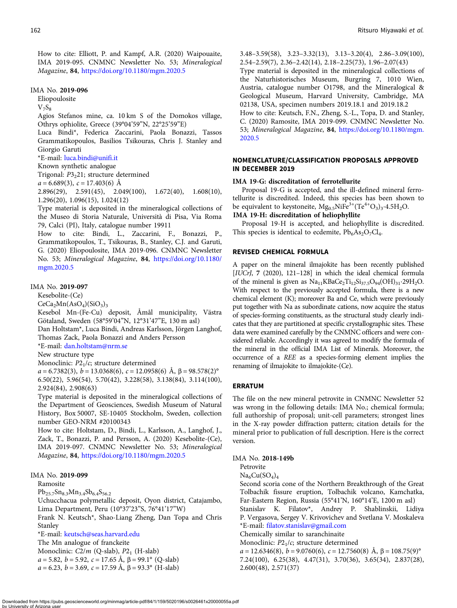How to cite: Elliott, P. and Kampf, A.R. (2020) Waipouaite, IMA 2019-095. CNMNC Newsletter No. 53; Mineralogical Magazine, <sup>84</sup>, <https://doi.org/10.1180/mgm.2020.5>

#### IMA No. 2019-096

#### Eliopoulosite

 $V_7S_8$ 

Agios Stefanos mine, ca. 10 km S of the Domokos village, Othrys ophiolite, Greece (39°04'59"N, 22°25'59"E)

Luca Bindi\*, Federica Zaccarini, Paola Bonazzi, Tassos Grammatikopoulos, Basilios Tsikouras, Chris J. Stanley and Giorgio Garuti

## \*E-mail: [luca.bindi@unifi.it](mailto:luca.bindi@unifi.it)

Known synthetic analogue

Trigonal:  $P3<sub>2</sub>21$ ; structure determined

 $a = 6.689(3), c = 17.403(6)$  Å

2.896(29), 2.591(45), 2.049(100), 1.672(40), 1.608(10), 1.296(20), 1.096(15), 1.024(12)

Type material is deposited in the mineralogical collections of the Museo di Storia Naturale, Università di Pisa, Via Roma 79, Calci (PI), Italy, catalogue number 19911

How to cite: Bindi, L., Zaccarini, F., Bonazzi, P., Grammatikopoulos, T., Tsikouras, B., Stanley, C.J. and Garuti, G. (2020) Eliopoulosite, IMA 2019-096. CNMNC Newsletter No. 53; Mineralogical Magazine, <sup>84</sup>, [https://doi.org/10.1180/](https://doi.org/10.1180/mgm.2020.5) [mgm.2020.5](https://doi.org/10.1180/mgm.2020.5)

#### IMA No. 2019-097

Kesebolite-(Ce)

 $CeCa<sub>2</sub>Mn(AsO<sub>4</sub>)(SiO<sub>3</sub>)<sub>3</sub>$ 

Kesebol Mn-(Fe-Cu) deposit, Åmål municipality, Västra Götaland, Sweden (58°59'04"N, 12°31'47"E, 130 m asl) Dan Holtstam\*, Luca Bindi, Andreas Karlsson, Jörgen Langhof,

Thomas Zack, Paola Bonazzi and Anders Persson

\*E-mail: [dan.holtstam@nrm.se](mailto:dan.holtstam@nrm.se)

New structure type

Monoclinic:  $P2<sub>1</sub>/c$ ; structure determined

 $a = 6.7382(3), b = 13.0368(6), c = 12.0958(6)$  Å,  $\beta = 98.578(2)$ ° 6.50(22), 5.96(54), 5.70(42), 3.228(58), 3.138(84), 3.114(100), 2.924(84), 2.908(63)

Type material is deposited in the mineralogical collections of the Department of Geosciences, Swedish Museum of Natural History, Box 50007, SE-10405 Stockholm, Sweden, collection number GEO-NRM #20100343

How to cite: Holtstam, D., Bindi, L., Karlsson, A., Langhof, J., Zack, T., Bonazzi, P. and Persson, A. (2020) Kesebolite-(Ce), IMA 2019-097. CNMNC Newsletter No. 53; Mineralogical Magazine, <sup>84</sup>, <https://doi.org/10.1180/mgm.2020.5>

## IMA No. 2019-099

Ramosite

 $Pb_{25.7}Sn_{8.3}Mn_{3.4}Sb_{6.4}S_{56.2}$ 

Uchucchacua polymetallic deposit, Oyon district, Catajambo, Lima Department, Peru (10°37'23"S, 76°41'17"W)

Frank N. Keutsch\*, Shao-Liang Zheng, Dan Topa and Chris Stanley

\*E-mail: [keutsch@seas.harvard.edu](mailto:keutsch@seas.harvard.edu)

The Mn analogue of franckeite

Monoclinic:  $C2/m$  (Q-slab),  $P2_1$  (H-slab)

 $a = 5.82, b = 5.92, c = 17.65 \text{ Å}, \beta = 99.1^{\circ} \text{ (Q-slab)}$ 

 $a = 6.23$ ,  $b = 3.69$ ,  $c = 17.59$  Å,  $\beta = 93.3^{\circ}$  (H-slab)

3.48–3.59(58), 3.23–3.32(13), 3.13–3.20(4), 2.86–3.09(100), 2.54–2.59(7), 2.36–2.42(14), 2.18–2.25(73), 1.96–2.07(43)

Type material is deposited in the mineralogical collections of the Naturhistorisches Museum, Burgring 7, 1010 Wien, Austria, catalogue number O1798, and the Mineralogical & Geological Museum, Harvard University, Cambridge, MA 02138, USA, specimen numbers 2019.18.1 and 2019.18.2

How to cite: Keutsch, F.N., Zheng, S.-L., Topa, D. and Stanley, C. (2020) Ramosite, IMA 2019-099. CNMNC Newsletter No. 53; Mineralogical Magazine, <sup>84</sup>, [https://doi.org/10.1180/mgm.](https://doi.org/10.1180/mgm.2020.5) [2020.5](https://doi.org/10.1180/mgm.2020.5)

### NOMENCLATURE/CLASSIFICATION PROPOSALS APPROVED IN DECEMBER 2019

#### IMA 19-G: discreditation of ferrotellurite

Proposal 19-G is accepted, and the ill-defined mineral ferrotellurite is discredited. Indeed, this species has been shown to be equivalent to keystoneite,  $Mg_{0.5}NiFe^{3+}(Te^{4+}O_3)_3.4.5H_2O$ . IMA 19-H: discreditation of heliophyllite

Proposal 19-H is accepted, and heliophyllite is discredited.

This species is identical to ecdemite,  $Pb_6As_2O_7Cl_4$ .

## REVISED CHEMICAL FORMULA

A paper on the mineral ilmajokite has been recently published [IUCrJ, 7 (2020), 121–128] in which the ideal chemical formula of the mineral is given as  $Na_{11}KBaCe_2Ti_{12}Si_{37.5}O_{94}(OH)_{31} \cdot 29H_2O$ . With respect to the previously accepted formula, there is a new chemical element (K); moreover Ba and Ce, which were previously put together with Na as subordinate cations, now acquire the status of species-forming constituents, as the structural study clearly indicates that they are partitioned at specific crystallographic sites. These data were examined carefully by the CNMNC officers and were considered reliable. Accordingly it was agreed to modify the formula of the mineral in the official IMA List of Minerals. Moreover, the occurrence of a REE as a species-forming element implies the renaming of ilmajokite to ilmajokite-(Ce).

#### ERRATUM

The file on the new mineral petrovite in CNMNC Newsletter 52 was wrong in the following details: IMA No.; chemical formula; full authorship of proposal; unit-cell parameters; strongest lines in the X-ray powder diffraction pattern; citation details for the mineral prior to publication of full description. Here is the correct version.

#### IMA No. 2018-149b

Petrovite  $Na<sub>6</sub>Cu(SO<sub>4</sub>)<sub>4</sub>$ 

Second scoria cone of the Northern Breakthrough of the Great Tolbachik fissure eruption, Tolbachik volcano, Kamchatka, Far-Eastern Region, Russia (55°41'N, 160°14'E, 1200 m asl) Stanislav K. Filatov\*, Andrey P. Shablinskii, Lidiya P. Vergasova, Sergey V. Krivovichev and Svetlana V. Moskaleva \*E-mail: [filatov.stanislav@gmail.com](mailto:filatov.stanislav@gmail.com)

Chemically similar to saranchinaite

Monoclinic:  $P2<sub>1</sub>/c$ ; structure determined  $a = 12.6346(8), b = 9.0760(6), c = 12.7560(8)$  Å,  $\beta = 108.75(9)$ ° 7.24(100), 6.25(38), 4.47(31), 3.70(36), 3.65(34), 2.837(28), 2.600(48), 2.571(37)